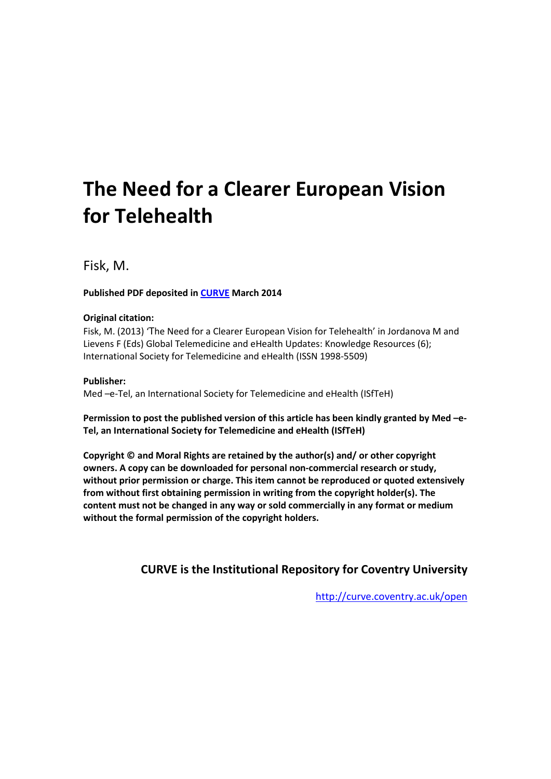# **The Need for a Clearer European Vision for Telehealth**

Fisk, M.

## **Published PDF deposited in [CURVE](http://curve.coventry.ac.uk/open) March 2014**

### **Original citation:**

Fisk, M. (2013) 'The Need for a Clearer European Vision for Telehealth' in Jordanova M and Lievens F (Eds) Global Telemedicine and eHealth Updates: Knowledge Resources (6); International Society for Telemedicine and eHealth (ISSN 1998-5509)

## **Publisher:**

Med –e-Tel, an International Society for Telemedicine and eHealth (ISfTeH)

**Permission to post the published version of this article has been kindly granted by Med –e-Tel, an International Society for Telemedicine and eHealth (ISfTeH)**

**Copyright © and Moral Rights are retained by the author(s) and/ or other copyright owners. A copy can be downloaded for personal non-commercial research or study, without prior permission or charge. This item cannot be reproduced or quoted extensively from without first obtaining permission in writing from the copyright holder(s). The content must not be changed in any way or sold commercially in any format or medium without the formal permission of the copyright holders.** 

# **CURVE is the Institutional Repository for Coventry University**

<http://curve.coventry.ac.uk/open>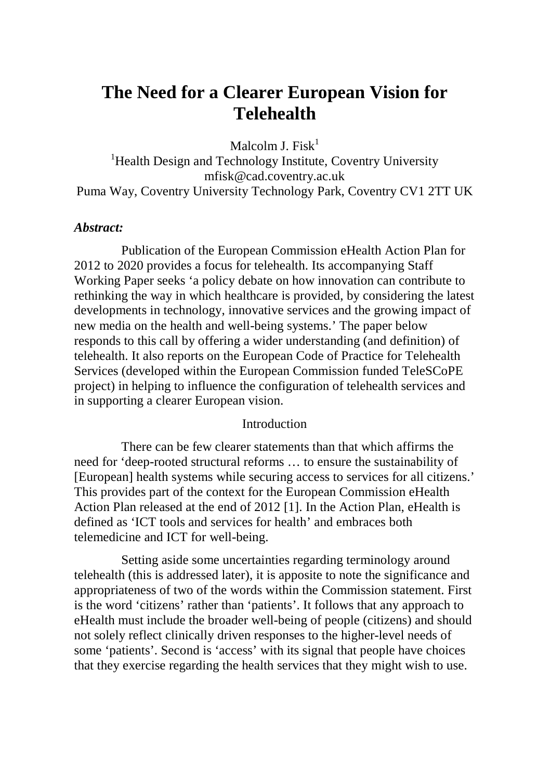# **The Need for a Clearer European Vision for Telehealth**

Malcolm I. Fisk $<sup>1</sup>$ </sup>

<sup>1</sup>Health Design and Technology Institute, Coventry University mfisk@cad.coventry.ac.uk Puma Way, Coventry University Technology Park, Coventry CV1 2TT UK

#### *Abstract:*

Publication of the European Commission eHealth Action Plan for 2012 to 2020 provides a focus for telehealth. Its accompanying Staff Working Paper seeks 'a policy debate on how innovation can contribute to rethinking the way in which healthcare is provided, by considering the latest developments in technology, innovative services and the growing impact of new media on the health and well-being systems.' The paper below responds to this call by offering a wider understanding (and definition) of telehealth. It also reports on the European Code of Practice for Telehealth Services (developed within the European Commission funded TeleSCoPE project) in helping to influence the configuration of telehealth services and in supporting a clearer European vision.

#### Introduction

There can be few clearer statements than that which affirms the need for 'deep-rooted structural reforms … to ensure the sustainability of [European] health systems while securing access to services for all citizens.' This provides part of the context for the European Commission eHealth Action Plan released at the end of 2012 [1]. In the Action Plan, eHealth is defined as 'ICT tools and services for health' and embraces both telemedicine and ICT for well-being.

Setting aside some uncertainties regarding terminology around telehealth (this is addressed later), it is apposite to note the significance and appropriateness of two of the words within the Commission statement. First is the word 'citizens' rather than 'patients'. It follows that any approach to eHealth must include the broader well-being of people (citizens) and should not solely reflect clinically driven responses to the higher-level needs of some 'patients'. Second is 'access' with its signal that people have choices that they exercise regarding the health services that they might wish to use.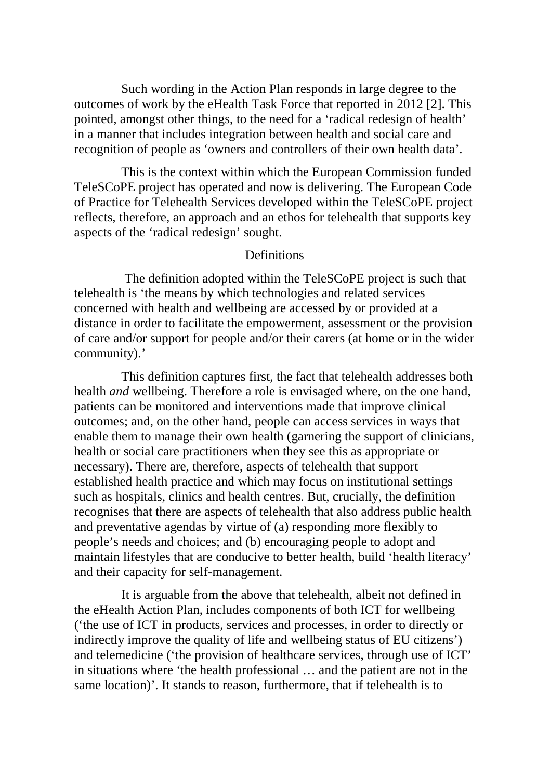Such wording in the Action Plan responds in large degree to the outcomes of work by the eHealth Task Force that reported in 2012 [2]. This pointed, amongst other things, to the need for a 'radical redesign of health' in a manner that includes integration between health and social care and recognition of people as 'owners and controllers of their own health data'.

This is the context within which the European Commission funded TeleSCoPE project has operated and now is delivering. The European Code of Practice for Telehealth Services developed within the TeleSCoPE project reflects, therefore, an approach and an ethos for telehealth that supports key aspects of the 'radical redesign' sought.

#### Definitions

The definition adopted within the TeleSCoPE project is such that telehealth is 'the means by which technologies and related services concerned with health and wellbeing are accessed by or provided at a distance in order to facilitate the empowerment, assessment or the provision of care and/or support for people and/or their carers (at home or in the wider community).'

This definition captures first, the fact that telehealth addresses both health *and* wellbeing. Therefore a role is envisaged where, on the one hand, patients can be monitored and interventions made that improve clinical outcomes; and, on the other hand, people can access services in ways that enable them to manage their own health (garnering the support of clinicians, health or social care practitioners when they see this as appropriate or necessary). There are, therefore, aspects of telehealth that support established health practice and which may focus on institutional settings such as hospitals, clinics and health centres. But, crucially, the definition recognises that there are aspects of telehealth that also address public health and preventative agendas by virtue of (a) responding more flexibly to people's needs and choices; and (b) encouraging people to adopt and maintain lifestyles that are conducive to better health, build 'health literacy' and their capacity for self-management.

It is arguable from the above that telehealth, albeit not defined in the eHealth Action Plan, includes components of both ICT for wellbeing ('the use of ICT in products, services and processes, in order to directly or indirectly improve the quality of life and wellbeing status of EU citizens') and telemedicine ('the provision of healthcare services, through use of ICT' in situations where 'the health professional … and the patient are not in the same location)'. It stands to reason, furthermore, that if telehealth is to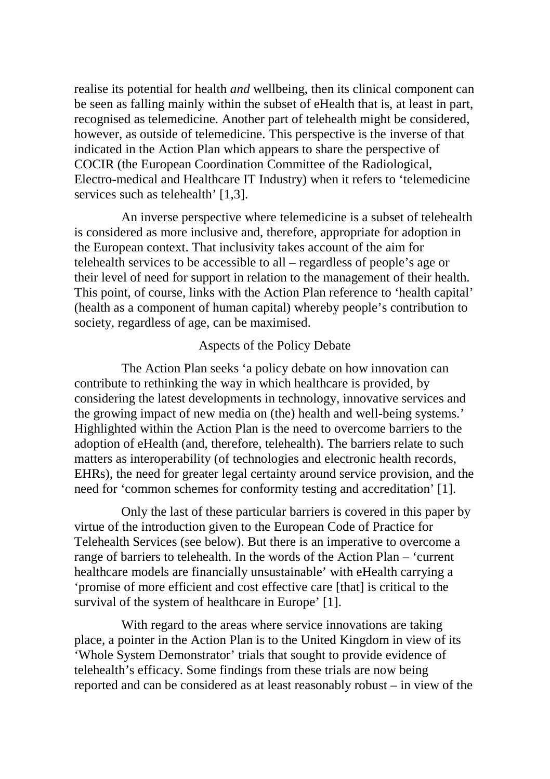realise its potential for health *and* wellbeing, then its clinical component can be seen as falling mainly within the subset of eHealth that is, at least in part, recognised as telemedicine. Another part of telehealth might be considered, however, as outside of telemedicine. This perspective is the inverse of that indicated in the Action Plan which appears to share the perspective of COCIR (the European Coordination Committee of the Radiological, Electro-medical and Healthcare IT Industry) when it refers to 'telemedicine services such as telehealth' [1,3].

An inverse perspective where telemedicine is a subset of telehealth is considered as more inclusive and, therefore, appropriate for adoption in the European context. That inclusivity takes account of the aim for telehealth services to be accessible to all – regardless of people's age or their level of need for support in relation to the management of their health. This point, of course, links with the Action Plan reference to 'health capital' (health as a component of human capital) whereby people's contribution to society, regardless of age, can be maximised.

#### Aspects of the Policy Debate

The Action Plan seeks 'a policy debate on how innovation can contribute to rethinking the way in which healthcare is provided, by considering the latest developments in technology, innovative services and the growing impact of new media on (the) health and well-being systems.' Highlighted within the Action Plan is the need to overcome barriers to the adoption of eHealth (and, therefore, telehealth). The barriers relate to such matters as interoperability (of technologies and electronic health records, EHRs), the need for greater legal certainty around service provision, and the need for 'common schemes for conformity testing and accreditation' [1].

Only the last of these particular barriers is covered in this paper by virtue of the introduction given to the European Code of Practice for Telehealth Services (see below). But there is an imperative to overcome a range of barriers to telehealth. In the words of the Action Plan – 'current healthcare models are financially unsustainable' with eHealth carrying a 'promise of more efficient and cost effective care [that] is critical to the survival of the system of healthcare in Europe' [1].

With regard to the areas where service innovations are taking place, a pointer in the Action Plan is to the United Kingdom in view of its 'Whole System Demonstrator' trials that sought to provide evidence of telehealth's efficacy. Some findings from these trials are now being reported and can be considered as at least reasonably robust – in view of the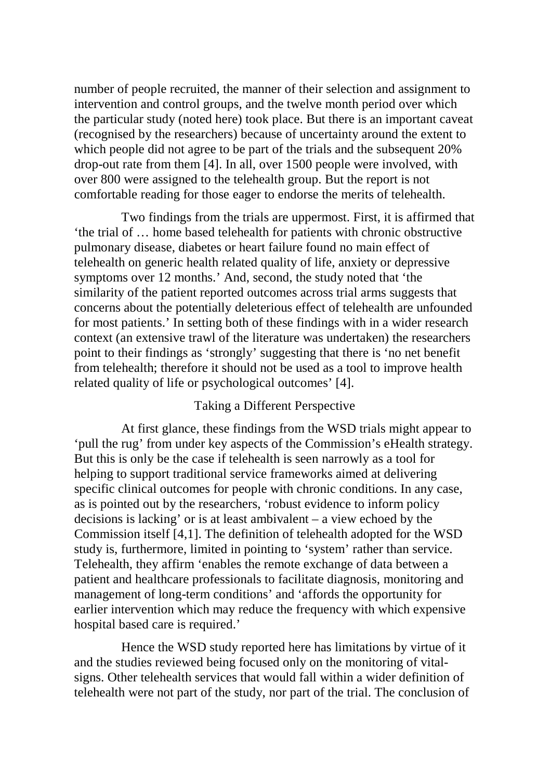number of people recruited, the manner of their selection and assignment to intervention and control groups, and the twelve month period over which the particular study (noted here) took place. But there is an important caveat (recognised by the researchers) because of uncertainty around the extent to which people did not agree to be part of the trials and the subsequent 20% drop-out rate from them [4]. In all, over 1500 people were involved, with over 800 were assigned to the telehealth group. But the report is not comfortable reading for those eager to endorse the merits of telehealth.

Two findings from the trials are uppermost. First, it is affirmed that 'the trial of … home based telehealth for patients with chronic obstructive pulmonary disease, diabetes or heart failure found no main effect of telehealth on generic health related quality of life, anxiety or depressive symptoms over 12 months.' And, second, the study noted that 'the similarity of the patient reported outcomes across trial arms suggests that concerns about the potentially deleterious effect of telehealth are unfounded for most patients.' In setting both of these findings with in a wider research context (an extensive trawl of the literature was undertaken) the researchers point to their findings as 'strongly' suggesting that there is 'no net benefit from telehealth; therefore it should not be used as a tool to improve health related quality of life or psychological outcomes' [4].

#### Taking a Different Perspective

At first glance, these findings from the WSD trials might appear to 'pull the rug' from under key aspects of the Commission's eHealth strategy. But this is only be the case if telehealth is seen narrowly as a tool for helping to support traditional service frameworks aimed at delivering specific clinical outcomes for people with chronic conditions. In any case, as is pointed out by the researchers, 'robust evidence to inform policy decisions is lacking' or is at least ambivalent – a view echoed by the Commission itself [4,1]. The definition of telehealth adopted for the WSD study is, furthermore, limited in pointing to 'system' rather than service. Telehealth, they affirm 'enables the remote exchange of data between a patient and healthcare professionals to facilitate diagnosis, monitoring and management of long-term conditions' and 'affords the opportunity for earlier intervention which may reduce the frequency with which expensive hospital based care is required.'

Hence the WSD study reported here has limitations by virtue of it and the studies reviewed being focused only on the monitoring of vitalsigns. Other telehealth services that would fall within a wider definition of telehealth were not part of the study, nor part of the trial. The conclusion of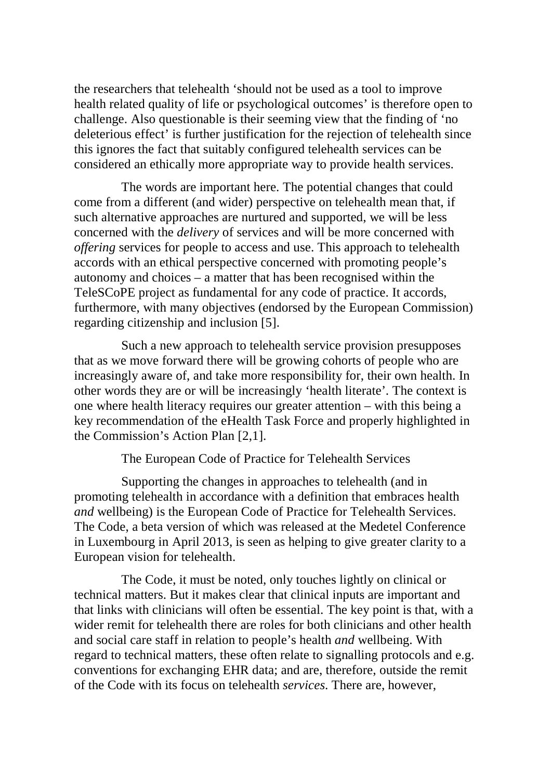the researchers that telehealth 'should not be used as a tool to improve health related quality of life or psychological outcomes' is therefore open to challenge. Also questionable is their seeming view that the finding of 'no deleterious effect' is further justification for the rejection of telehealth since this ignores the fact that suitably configured telehealth services can be considered an ethically more appropriate way to provide health services.

The words are important here. The potential changes that could come from a different (and wider) perspective on telehealth mean that, if such alternative approaches are nurtured and supported, we will be less concerned with the *delivery* of services and will be more concerned with *offering* services for people to access and use. This approach to telehealth accords with an ethical perspective concerned with promoting people's autonomy and choices – a matter that has been recognised within the TeleSCoPE project as fundamental for any code of practice. It accords, furthermore, with many objectives (endorsed by the European Commission) regarding citizenship and inclusion [5].

Such a new approach to telehealth service provision presupposes that as we move forward there will be growing cohorts of people who are increasingly aware of, and take more responsibility for, their own health. In other words they are or will be increasingly 'health literate'. The context is one where health literacy requires our greater attention – with this being a key recommendation of the eHealth Task Force and properly highlighted in the Commission's Action Plan [2,1].

The European Code of Practice for Telehealth Services

Supporting the changes in approaches to telehealth (and in promoting telehealth in accordance with a definition that embraces health *and* wellbeing) is the European Code of Practice for Telehealth Services. The Code, a beta version of which was released at the Medetel Conference in Luxembourg in April 2013, is seen as helping to give greater clarity to a European vision for telehealth.

The Code, it must be noted, only touches lightly on clinical or technical matters. But it makes clear that clinical inputs are important and that links with clinicians will often be essential. The key point is that, with a wider remit for telehealth there are roles for both clinicians and other health and social care staff in relation to people's health *and* wellbeing. With regard to technical matters, these often relate to signalling protocols and e.g. conventions for exchanging EHR data; and are, therefore, outside the remit of the Code with its focus on telehealth *services*. There are, however,